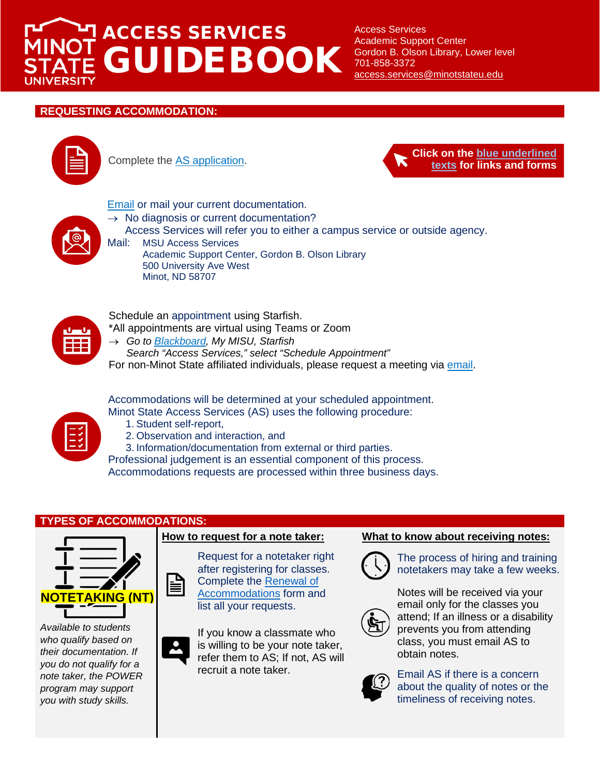# ACCESS SERVICES GUIDEBOOK

Access Services Academic Support Center Gordon B. Olson Library, Lower level 701-858-3372 [access.services@minotstateu.edu](mailto:access.services@minotstateu.edu)

## **REQUESTING ACCOMMODATION:**





**[Email](mailto:access.services@minotstateu.edu) or mail your current documentation.** 

- $\rightarrow$  No diagnosis or current documentation?
	- Access Services will refer you to either a campus service or outside agency.



Mail: MSU Access Services Academic Support Center, Gordon B. Olson Library 500 University Ave West Minot, ND 58707



Schedule an appointment using Starfish. \*All appointments are virtual using Teams or Zoom

→ *Go to [Blackboard,](https://blackboard.ndus.edu/webapps/login/) My MISU, Starfish*

*Search "Access Services," select "Schedule Appointment"* For non-Minot State affiliated individuals, please request a meeting via [email.](mailto:access.services@minotstateu.edu)

Accommodations will be determined at your scheduled appointment. Minot State Access Services (AS) uses the following procedure:



- 1. Student self-report,
- 2. Observation and interaction, and

3. Information/documentation from external or third parties.

Professional judgement is an essential component of this process. Accommodations requests are processed within three business days.

### **TYPES OF ACCOMMODATIONS:**



*Available to students who qualify based on their documentation. If you do not qualify for a note taker, the POWER program may support you with study skills.*

Request for a notetaker right after registering for classes. Complete the [Renewal of](https://forms.office.com/r/uD7vSKJAgZ)  [Accommodations](https://forms.office.com/r/uD7vSKJAgZ) form and list all your requests.

If you know a classmate who is willing to be your note taker, refer them to AS; If not, AS will recruit a note taker.

### **How to request for a note taker: What to know about receiving notes:**



The process of hiring and training notetakers may take a few weeks.



Notes will be received via your email only for the classes you attend; If an illness or a disability prevents you from attending class, you must email AS to obtain notes.



Email AS if there is a concern about the quality of notes or the timeliness of receiving notes.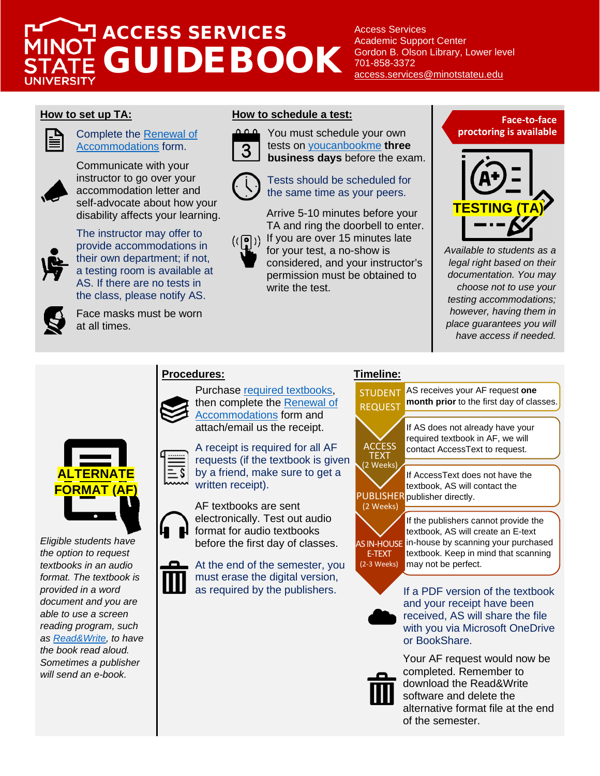## ACCESS SERVICES GUIDEBOOK **IIVERSIT**

Access Services Academic Support Center Gordon B. Olson Library, Lower level 701-858-3372 [access.services@minotstateu.edu](mailto:access.services@minotstateu.edu)



### Complete the [Renewal of](https://forms.office.com/r/uD7vSKJAgZ)  [Accommodations](https://forms.office.com/r/uD7vSKJAgZ) form.

Communicate with your instructor to go over your accommodation letter and self-advocate about how your disability affects your learning.



The instructor may offer to provide accommodations in their own department; if not, a testing room is available at AS. If there are no tests in the class, please notify AS.



Face masks must be worn at all times.

### **How to set up TA: How to schedule a test:**



You must schedule your own tests on [youcanbookme](https://msuastesting.youcanbook.me/) **three business days** before the exam.



### Tests should be scheduled for the same time as your peers.

Arrive 5-10 minutes before your TA and ring the doorbell to enter. ((p)) If you are over 15 minutes late

for your test, a no-show is considered, and your instructor's permission must be obtained to write the test.





*Available to students as a legal right based on their documentation. You may choose not to use your testing accommodations; however, having them in place guarantees you will have access if needed.*

### **Procedures: Timeline:**

Purchase [required textbooks,](https://minotstateu.bncollege.com/shop/minotstate/page/find-textbooks) then complete the [Renewal of](https://forms.office.com/r/uD7vSKJAgZ)  **[Accommodations](https://forms.office.com/r/uD7vSKJAgZ)** form and attach/email us the receipt.



*Eligible students have the option to request textbooks in an audio format. The textbook is provided in a word document and you are able to use a screen reading program, such as [Read&Write,](https://www.minotstateu.edu/downloads/) to have the book read aloud. Sometimes a publisher will send an e-book.*

A receipt is required for all AF requests (if the textbook is given by a friend, make sure to get a written receipt).

AF textbooks are sent electronically. Test out audio format for audio textbooks before the first day of classes.

At the end of the semester, you must erase the digital version, as required by the publishers.





If a PDF version of the textbook and your receipt have been received, AS will share the file with you via Microsoft OneDrive or BookShare.



Your AF request would now be completed. Remember to download the Read&Write software and delete the alternative format file at the end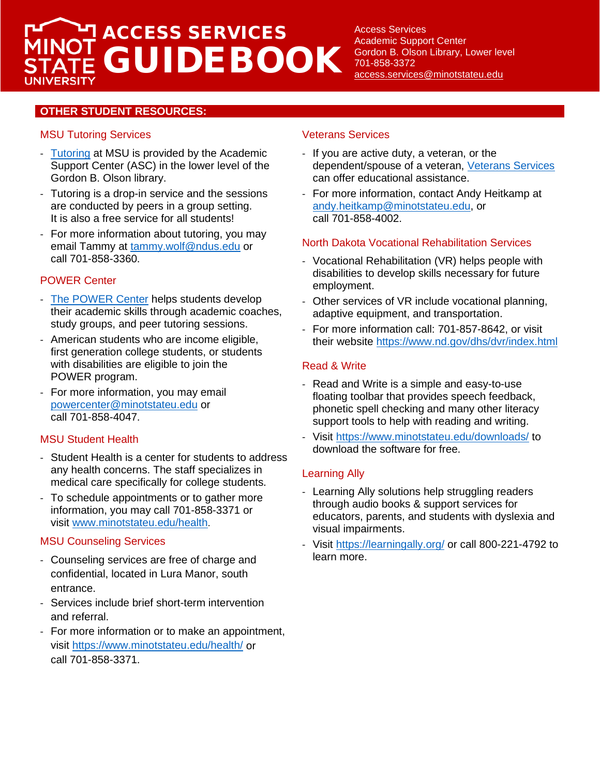# ACCESS SERVICES GUIDEBOOK

Access Services Academic Support Center Gordon B. Olson Library, Lower level 701-858-3372 [access.services@minotstateu.edu](mailto:access.services@minotstateu.edu)

### **OTHER STUDENT RESOURCES:**

### MSU Tutoring Services

- [Tutoring](https://www.minotstateu.edu/asc/peer_tutoring.shtml) at MSU is provided by the Academic Support Center (ASC) in the lower level of the Gordon B. Olson library.
- Tutoring is a drop-in service and the sessions are conducted by peers in a group setting. It is also a free service for all students!
- For more information about tutoring, you may email Tammy at [tammy.wolf@ndus.edu](mailto:tammy.wolf@ndus.edu) or call 701-858-3360.

### POWER Center

- [The POWER Center](https://www.minotstateu.edu/power/) helps students develop their academic skills through academic coaches, study groups, and peer tutoring sessions.
- American students who are income eligible, first generation college students, or students with disabilities are eligible to join the POWER program.
- For more information, you may email [powercenter@minotstateu.edu](mailto:powercenter@minotstateu.edu) or call 701-858-4047.

### MSU Student Health

- Student Health is a center for students to address any health concerns. The staff specializes in medical care specifically for college students.
- To schedule appointments or to gather more information, you may call 701-858-3371 or visit [www.minotstateu.edu/health](http://www.minotstateu.edu/health).

### MSU Counseling Services

- Counseling services are free of charge and confidential, located in Lura Manor, south entrance.
- Services include brief short-term intervention and referral.
- For more information or to make an appointment, visit <https://www.minotstateu.edu/health/> or call 701-858-3371.

### Veterans Services

- If you are active duty, a veteran, or the dependent/spouse of a veteran, [Veterans Services](https://www.minotstateu.edu/veterans/index.shtml) can offer educational assistance.
- For more information, contact Andy Heitkamp at [andy.heitkamp@minotstateu.edu,](https://ndusbpos-my.sharepoint.com/personal/evelyn_klimpel_ndus_edu/Documents/SCANNED%20FILES%20Spr%202020%20students%20ACTIVE/8.%20Guidebook,%20Newsletters,%20How-Tos/Guidebook/andy.heitkamp@minotstateu.edu) or call 701-858-4002.

### North Dakota Vocational Rehabilitation Services

- Vocational Rehabilitation (VR) helps people with disabilities to develop skills necessary for future employment.
- Other services of VR include vocational planning, adaptive equipment, and transportation.
- For more information call: 701-857-8642, or visit their website<https://www.nd.gov/dhs/dvr/index.html>

### Read & Write

- Read and Write is a simple and easy-to-use floating toolbar that provides speech feedback, phonetic spell checking and many other literacy support tools to help with reading and writing.
- Visit<https://www.minotstateu.edu/downloads/> to download the software for free.

### Learning Ally

- Learning Ally solutions help struggling readers through audio books & support services for educators, parents, and students with dyslexia and visual impairments.
- Visit<https://learningally.org/> or call 800-221-4792 to learn more.